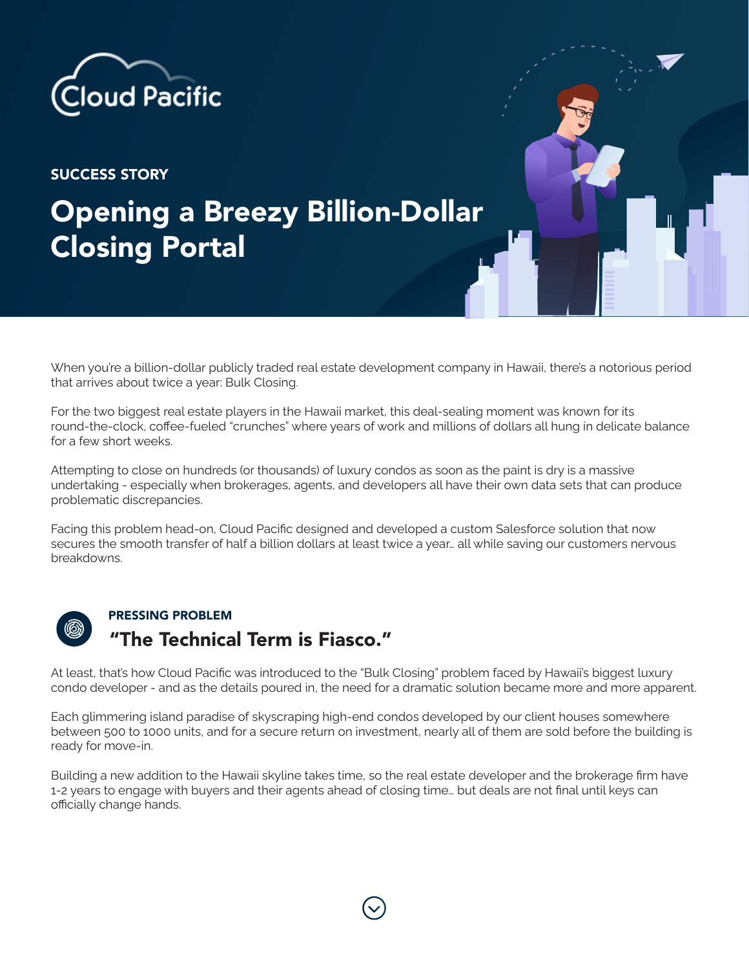

## SUCCESS STORY

## Opening a Breezy Billion-Dollar Closing Portal

When you're a billion-dollar publicly traded real estate development company in Hawaii, there's a notorious period that arrives about twice a year: Bulk Closing.

For the two biggest real estate players in the Hawaii market, this deal-sealing moment was known for its round-the-clock, coffee-fueled "crunches" where years of work and millions of dollars all hung in delicate balance for a few short weeks.

Attempting to close on hundreds (or thousands) of luxury condos as soon as the paint is dry is a massive undertaking - especially when brokerages, agents, and developers all have their own data sets that can produce problematic discrepancies.

Facing this problem head-on, Cloud Pacific designed and developed a custom Salesforce solution that now secures the smooth transfer of half a billion dollars at least twice a year… all while saving our customers nervous breakdowns.



## PRESSING PROBLEM "The Technical Term is Fiasco."

At least, that's how Cloud Pacific was introduced to the "Bulk Closing" problem faced by Hawaii's biggest luxury condo developer - and as the details poured in, the need for a dramatic solution became more and more apparent.

Each glimmering island paradise of skyscraping high-end condos developed by our client houses somewhere between 500 to 1000 units, and for a secure return on investment, nearly all of them are sold before the building is ready for move-in.

Building a new addition to the Hawaii skyline takes time, so the real estate developer and the brokerage firm have 1-2 years to engage with buyers and their agents ahead of closing time… but deals are not final until keys can officially change hands.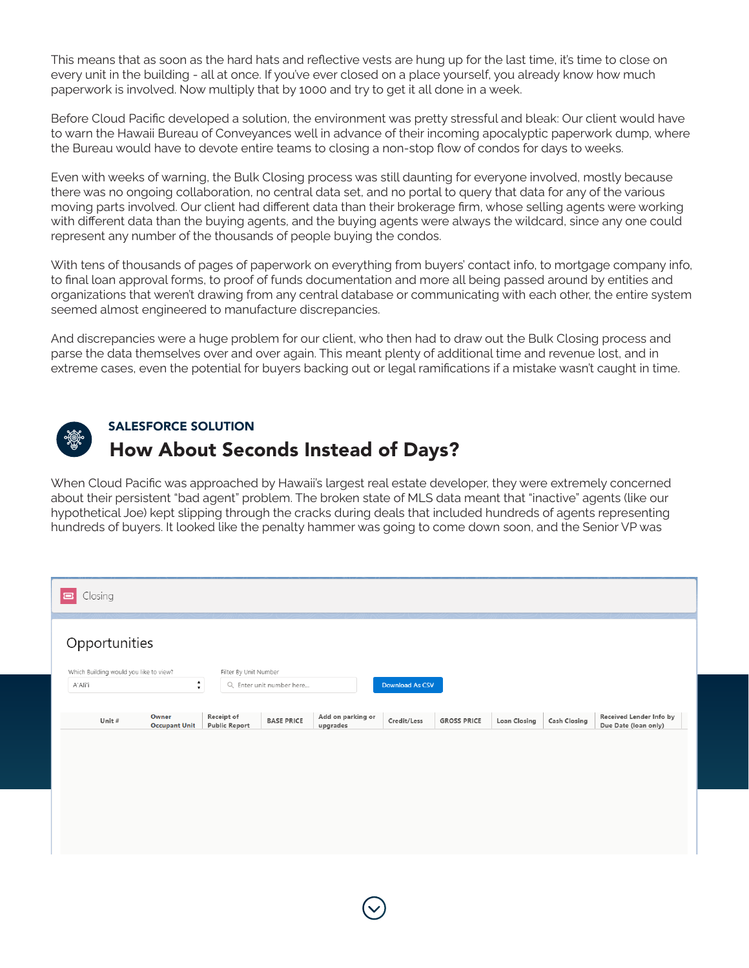This means that as soon as the hard hats and reflective vests are hung up for the last time, it's time to close on every unit in the building - all at once. If you've ever closed on a place yourself, you already know how much paperwork is involved. Now multiply that by 1000 and try to get it all done in a week.

Before Cloud Pacific developed a solution, the environment was pretty stressful and bleak: Our client would have to warn the Hawaii Bureau of Conveyances well in advance of their incoming apocalyptic paperwork dump, where the Bureau would have to devote entire teams to closing a non-stop flow of condos for days to weeks.

Even with weeks of warning, the Bulk Closing process was still daunting for everyone involved, mostly because there was no ongoing collaboration, no central data set, and no portal to query that data for any of the various moving parts involved. Our client had different data than their brokerage firm, whose selling agents were working with different data than the buying agents, and the buying agents were always the wildcard, since any one could represent any number of the thousands of people buying the condos.

With tens of thousands of pages of paperwork on everything from buyers' contact info, to mortgage company info, to final loan approval forms, to proof of funds documentation and more all being passed around by entities and organizations that weren't drawing from any central database or communicating with each other, the entire system seemed almost engineered to manufacture discrepancies.

And discrepancies were a huge problem for our client, who then had to draw out the Bulk Closing process and parse the data themselves over and over again. This meant plenty of additional time and revenue lost, and in extreme cases, even the potential for buyers backing out or legal ramifications if a mistake wasn't caught in time.



## SALESFORCE SOLUTION How About Seconds Instead of Days?

When Cloud Pacific was approached by Hawaii's largest real estate developer, they were extremely concerned about their persistent "bad agent" problem. The broken state of MLS data meant that "inactive" agents (like our hypothetical Joe) kept slipping through the cracks during deals that included hundreds of agents representing hundreds of buyers. It looked like the penalty hammer was going to come down soon, and the Senior VP was

| Closing<br>E |                                        |                               |                                    |                          |                               |                        |                    |                     |                     |                                                 |
|--------------|----------------------------------------|-------------------------------|------------------------------------|--------------------------|-------------------------------|------------------------|--------------------|---------------------|---------------------|-------------------------------------------------|
|              | Opportunities                          |                               |                                    |                          |                               |                        |                    |                     |                     |                                                 |
|              | Which Building would you like to view? |                               | Filter By Unit Number              |                          |                               |                        |                    |                     |                     |                                                 |
|              | ÷<br>A'Ali'i                           |                               |                                    | Q Enter unit number here |                               | <b>Download As CSV</b> |                    |                     |                     |                                                 |
|              |                                        |                               |                                    |                          |                               |                        |                    |                     |                     |                                                 |
|              | Unit #                                 | Owner<br><b>Occupant Unit</b> | Receipt of<br><b>Public Report</b> | <b>BASE PRICE</b>        | Add on parking or<br>upgrades | Credit/Less            | <b>GROSS PRICE</b> | <b>Loan Closing</b> | <b>Cash Closing</b> | Received Lender Info by<br>Due Date (loan only) |
|              |                                        |                               |                                    |                          |                               |                        |                    |                     |                     |                                                 |
|              |                                        |                               |                                    |                          |                               |                        |                    |                     |                     |                                                 |
|              |                                        |                               |                                    |                          |                               |                        |                    |                     |                     |                                                 |
|              |                                        |                               |                                    |                          |                               |                        |                    |                     |                     |                                                 |
|              |                                        |                               |                                    |                          |                               |                        |                    |                     |                     |                                                 |
|              |                                        |                               |                                    |                          |                               |                        |                    |                     |                     |                                                 |